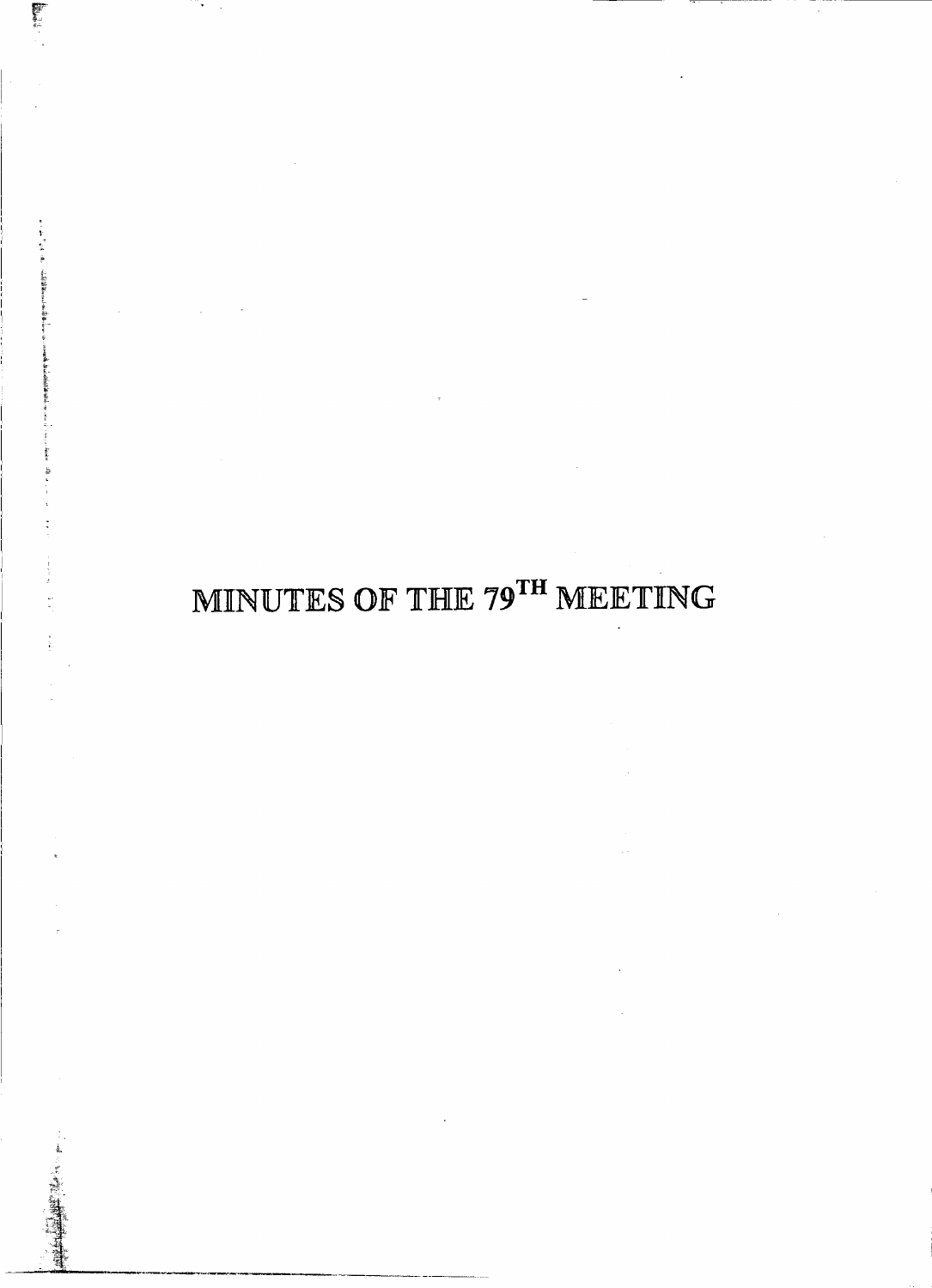## MINUTES OF THE 79TH MEETING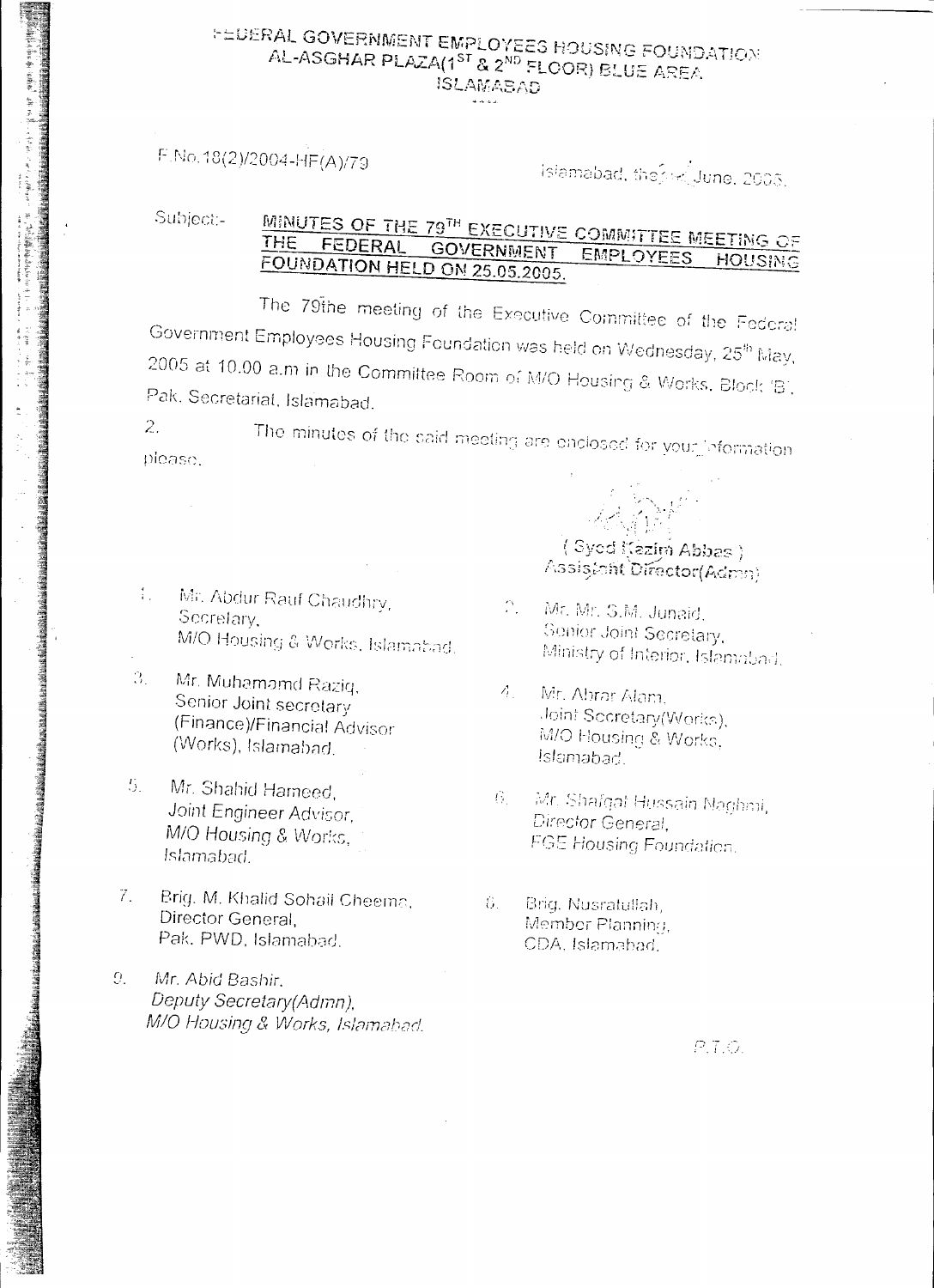## **FEDERAL GOVERNMENT EMPLOYEES HOUSING FOUNDATION** AL-ASGHAR PLAZA(1<sup>ST</sup> & 2<sup>ND</sup> FLOOR) BLUE AREA **ISLAMABAD**

## F.No.18(2)/2004-HF(A)/79

and the mail of the first control of the mail of the mail of the mail of the mail of the mail of the mail of the mail of the mail of the mail of the mail of the mail of the mail of the mail of the mail of the mail of the

**REAL PROPERTY AND RELEASED FOR A PROPERTY AND RELEASED FOR A PROPERTY** 

## islamabad, the skillune, 2005.

#### MINUTES OF THE 79TH EXECUTIVE COMMITTEE MEETING OF Subject:-FEDERAL GOVERNMENT EMPLOYEES HOUSING FOUNDATION HELD ON 25.05.2005.

The 79the meeting of the Executive Committee of the Federal Government Employees Housing Foundation was held on Wednesday, 25<sup>th</sup> May, 2005 at 10.00 a.m in the Committee Room of M/O Housing & Works, Block 'B', Pak. Secretarial, Islamabad.

 $2.$ The minutes of the said meeting are enclosed for your information. please.

- Mr. Abdur Rauf Chaudhry,  $\mathcal{I}_{\rm{max}}$ Secretary, M/O Housing & Works, Islamabad.
- Mr. Muhamamd Raziq,  $\mathcal{R}_1$ Senior Joint secretary (Finance)/Financial Advisor (Works), Islamabad.
- Mr. Shahid Hameed, 5. Joint Engineer Advisor, M/O Housing & Works, Islamabad.
- $7.$ Brig. M. Khalid Sohail Cheema, Director General. Pak. PWD, Islamabad.
- Mr. Abid Bashir,  $Q_{\perp}$ Deputy Secretary(Admn), M/O Housing & Works, Islamabad.

(Syod Kezim Abbas) Assistant Director(Admn)

- $\mathbb{C}^{\times}$ Mr. Mr. S.M. Junaid. Senior Joint Secretary, Ministry of Interior, Islamabad.
- $\Delta$ Mr. Abrar Alam. Joint Sccretary(Works), M/O Housing & Works, Islamabad.
- Mr. Shafqaf Hussain Naghmi,  $|G_{1}\rangle$ Director General. **FGE Housing Foundation.**
- Brig. Nusratullah, - 8. – Member Planning, CDA, Islamahad.

 $P.T.Q.$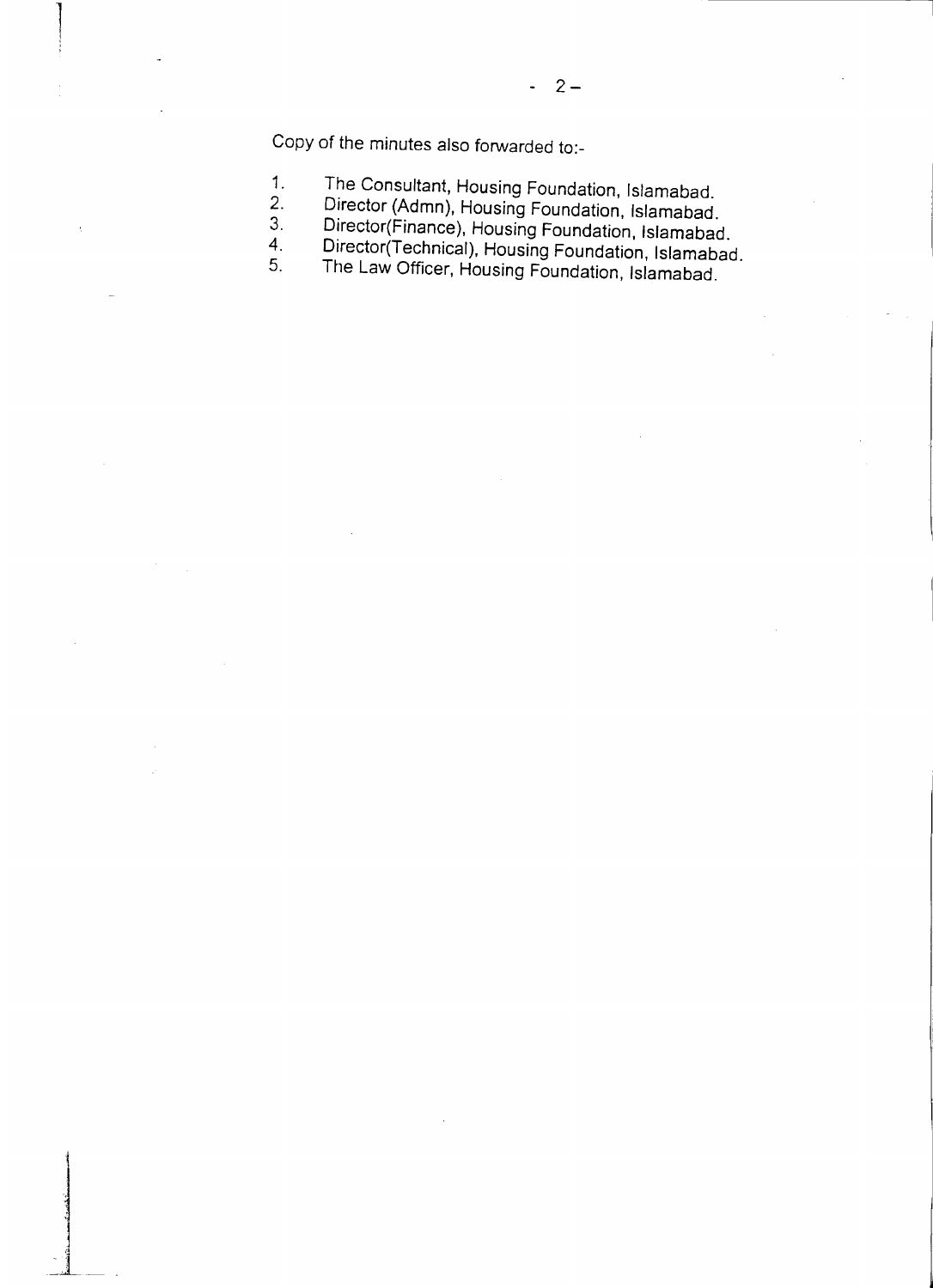Copy of the minutes also forwarded to:-

1,

> J 1<br>افغان الم

4. '] --~-~

- 1. The Consultant, Housing Foundation, Islamabad.
- 2. Director (Admn), Housing Foundation, Islamabad.
- 3. Director(Finance), Housing Foundation, Islamabad.
- 4. Director(Technical), Housing Foundation, Islamabad
- 5. The Law Officer, Housing Foundation, Islamabad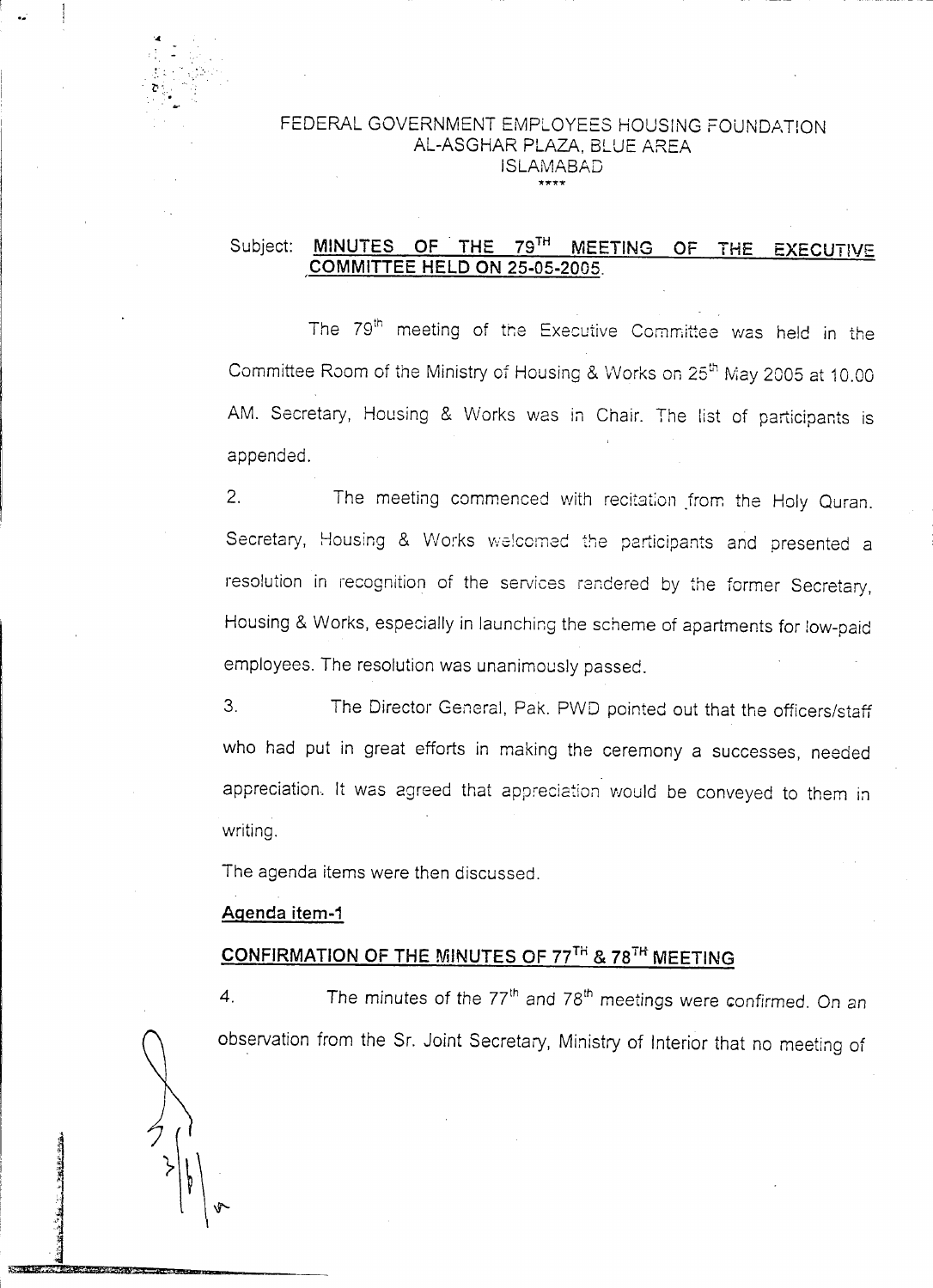

#### FEDERAL GOVERNMENT EMPLOYEES HOUSiNG FOUNDATION AL-ASGHAR PLAZA, BLUE AREA ISLAMABAD **\*,rr\*\***

#### Subject: **MINUTES OF' THE 79TH MEETING OF THE EXECUTIVE COMMITTEE HELD ON 25.05.2005.**

The 79<sup>th</sup> meeting of the Executive Committee was held in the Committee Room of the Ministry of Housing & Works on 25<sup>th</sup> May 2005 at 10.00 AM. Secretary, Housing & Works was in Chair. The list of participants is appended.

2. The meeting commenced with recitation from the Holy Quran. Secretary, Housing & Works welcomed the participants and presented a resolution in recognition of the services rendered by the former Secretary, Housing & Works, especially in launching the scheme of apartments for low-paid employees. The resolution was unanimously passed.

3. The Director General, Pak. PWD pointed out that the officers/staff who had put in great efforts in making the ceremony a successes, needed appreciation. It was agreed that appreciation would be conveyed to them in writing.

The agenda items were then discussed.

#### **Agenda item.1**

J

 $\frac{1}{2}$ ,  $\frac{3}{4}$ 

~'?**-"hb£-1tlSSef-JJitiil1jAAN-- 6' =**

## **CONFIRMATION OF THE MINUTES OF 77TH &** 78T~ **MEETING**

4. The minutes of the 77<sup>th</sup> and 78<sup>th</sup> meetings were confirmed. On an observation from the Sr. Joint Secretary, Ministry of Interior that no meeting of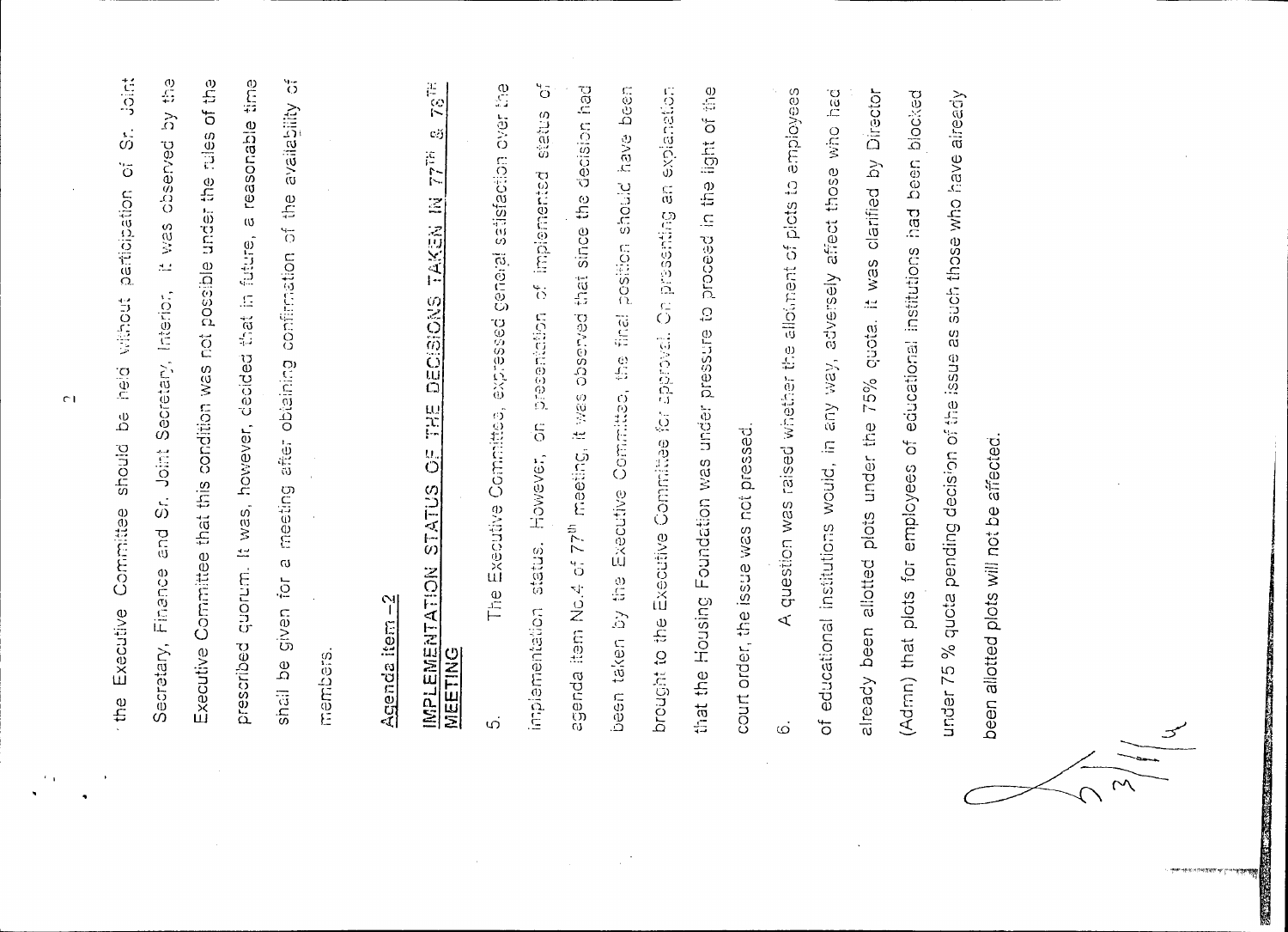of the **Mici** by the quorum. It was, however, decided that in future, a reasonable time  $\sqrt[4]{5}$ shall be given for a meeting after obtaining confirmation of the availability  $\dot{\tilde{\omega}}$ Executive Committee that this condition was not possible under the rules Secretary, Finance and Sr. Joint Secretary, Interior, It was observed participation of without be held Executive Committee should prescribed members the

# ျ Agenda item

## $78^{78}$  $\mathbf{c}$  $77\tilde{7}$ TAKEN IN DECISIONS  $\frac{10}{11}$  $\stackrel{U}{\circ}$ STATUS EMENTATION MEETING **TENII**

 $5^4$ general satisfaction over the agenda item No.4 of 77<sup>th</sup> meeting, it was observed that since the decision had by the Executive Committee, the final position should have been brought to the Executive Committee for approval. On presenting an explanation that the Housing Foundation was under pressure to proceed in the light of the sutatus However, on presentation of implemented The Executive Committee, expressed court order, the issue was not pressed. implementation status. been taken ഗ

A question was raised whether the allotiment of plots to employees of educational institutions would, in any way, adversely affect those who had already been allotted plots under the 75% quota. It was clarified by Director (Admn) that plots for employees of educational institutions had been blocked under 75 % quota pending decision of the issue as such those who have already been allotted plots will not be affected. نی

 $\overline{C}$ 

 $\mathcal{F}$  .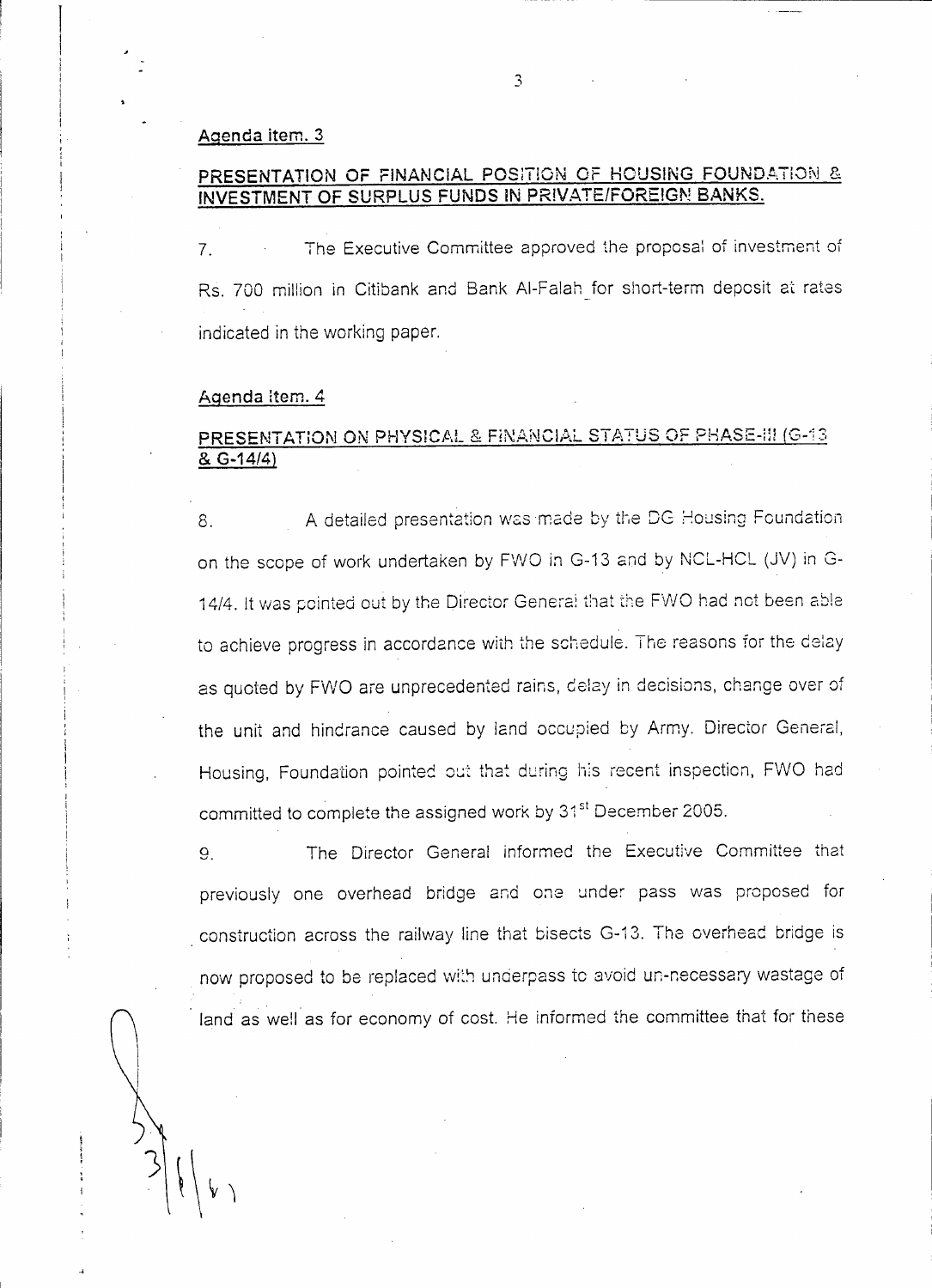#### Agenda item. 3

#### PRESENTATION OF FINANCIAL POSITION OF HOUSING FOUNDATION & INVESTMENT OF SURPLUS FUNDS IN PRIVATE/FOREIGN BANKS.

7. The Executive Committee approved the proposal of investment of Rs. 700 million in Citibank and Bank Al-Falah for short-term deposit at rates indicated in the working paper.

#### Agenda Item. 4

#### PRESENTATION ON <u>PHYSICAL & FINANCIAL STAT</u>US OF PHASE-!!! (G-13) & G-14/4)

8. A detailed presentation was made by the DG Housing Foundation on the scope of work undertaken by FWO in G-13 and by NCL-HCL (JV) in G-14/4. It was pointed out by the Director Genera: that the FVVO had not been able to achieve progress in accordance with the schedule. The reasons for the delay as quoted by FWO are unprecedented rains, delay in decisions, change over of the unit and hindrance caused by land occupied by Army. Director General, Housing. Foundation pointed out that during his recent inspection, FWO had committed to complete the assigned work by 31<sup>st</sup> December 2005.

9. The Director General informed the Executive Committee that previously one overhead bridge and one under pass was proposed for . construction across the railway line that bisects G-13. The overhead bridge is now proposed to be replaced with underpass to avoid un-necessary wastage of land as well as for economy of cost. He informed the committee that for these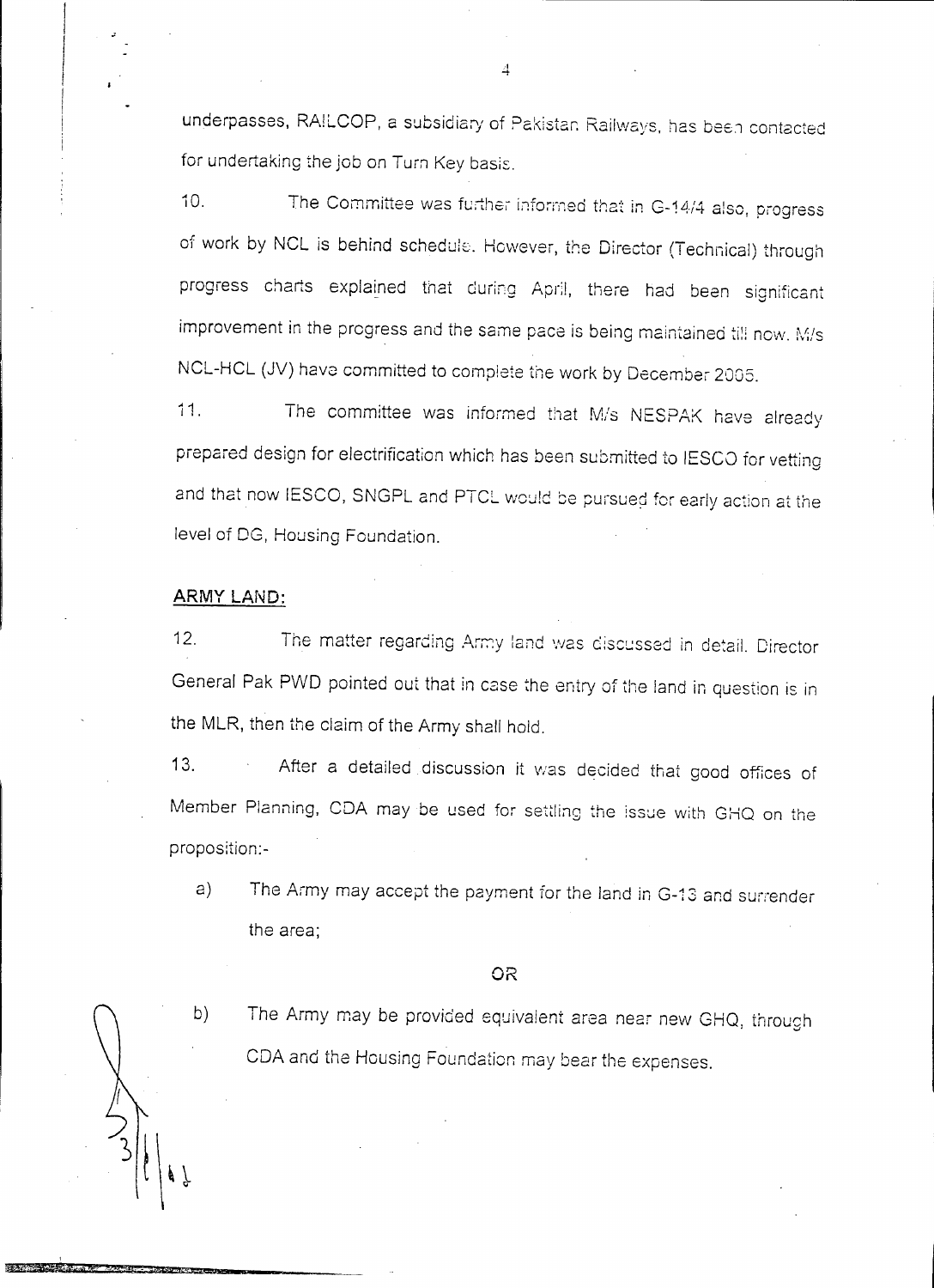underpasses, RAILCOP, a subsidiary of Pakistan Railways, has been contacted for undertaking the job on Turn Key basis.

The Committee was further informed that in G-14/4 also, progress  $10.$ of work by NCL is behind schedule. However, the Director (Technical) through progress charts explained that during April, there had been significant improvement in the progress and the same pace is being maintained till now. M/s NCL-HCL (JV) have committed to complete the work by December 2005.

 $11.$ The committee was informed that M/s NESPAK have already prepared design for electrification which has been submitted to IESCO for vetting and that now IESCO, SNGPL and PTCL would be pursued for early action at the level of DG, Housing Foundation.

#### ARMY LAND:

The matter regarding Army land was discussed in detail. Director  $12.$ General Pak PWD pointed out that in case the entry of the land in question is in the MLR, then the claim of the Army shall hold.

After a detailed discussion it was decided that good offices of  $13.$ Member Planning, CDA may be used for settling the issue with GHQ on the proposition:-

The Army may accept the payment for the land in G-13 and surrender a) the area;

#### OR

- b)
- The Army may be provided equivalent area near new GHQ, through CDA and the Housing Foundation may bear the expenses.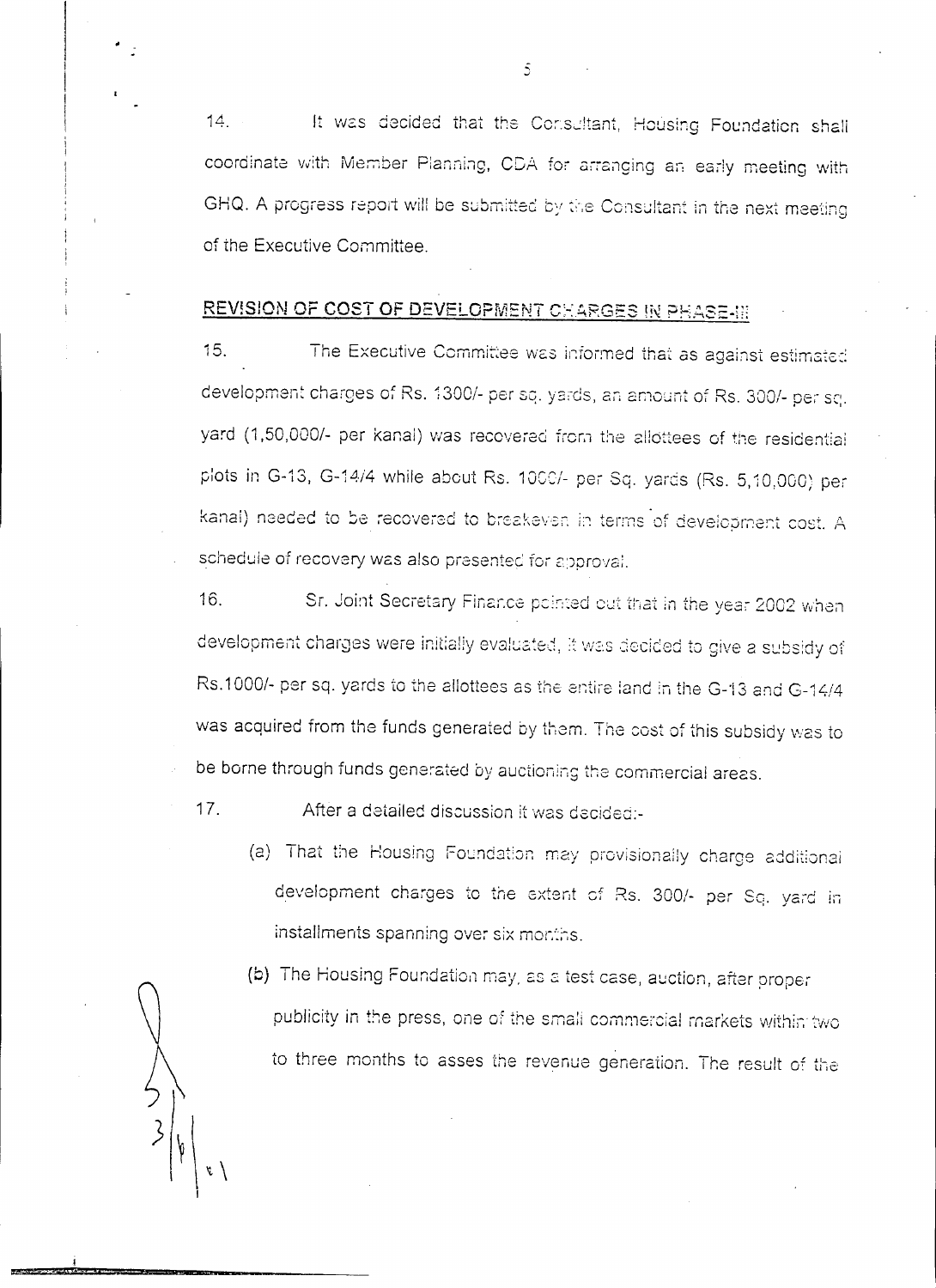It was decided that the Consultant, Housing Foundation shall  $14.$ coordinate with Member Planning, CDA for arranging an early meeting with GHQ. A progress report will be submitted by the Consultant in the next meeting of the Executive Committee.

## REVISION OF COST OF DEVELOPMENT CHARGES IN PHASE-III

 $15.$ The Executive Committee was informed that as against estimated development charges of Rs. 1300/- per sq. yards, an amount of Rs. 300/- per sq. yard (1,50,000/- per kanal) was recovered from the allottees of the residential plots in G-13, G-14/4 while about Rs. 1000/- per Sq. yards (Rs. 5,10,000) per kanal) needed to be recovered to breakeven in terms of development cost. A schedule of recovery was also presented for approval.

16. Sr. Joint Secretary Finance pointed out that in the year 2002 when development charges were initially evaluated, it was decided to give a subsidy of Rs.1000/- per sq. yards to the allottees as the entire land in the G-13 and G-14/4 was acquired from the funds generated by them. The cost of this subsidy was to be borne through funds generated by auctioning the commercial areas.

 $17.$ After a detailed discussion it was decided:-

> (a) That the Housing Foundation may provisionally charge additional development charges to the extent of Rs. 300/- per Sq. yard in installments spanning over six months.

(b) The Housing Foundation may, as a test case, auction, after proper publicity in the press, one of the small commercial markets within two to three months to asses the revenue generation. The result of the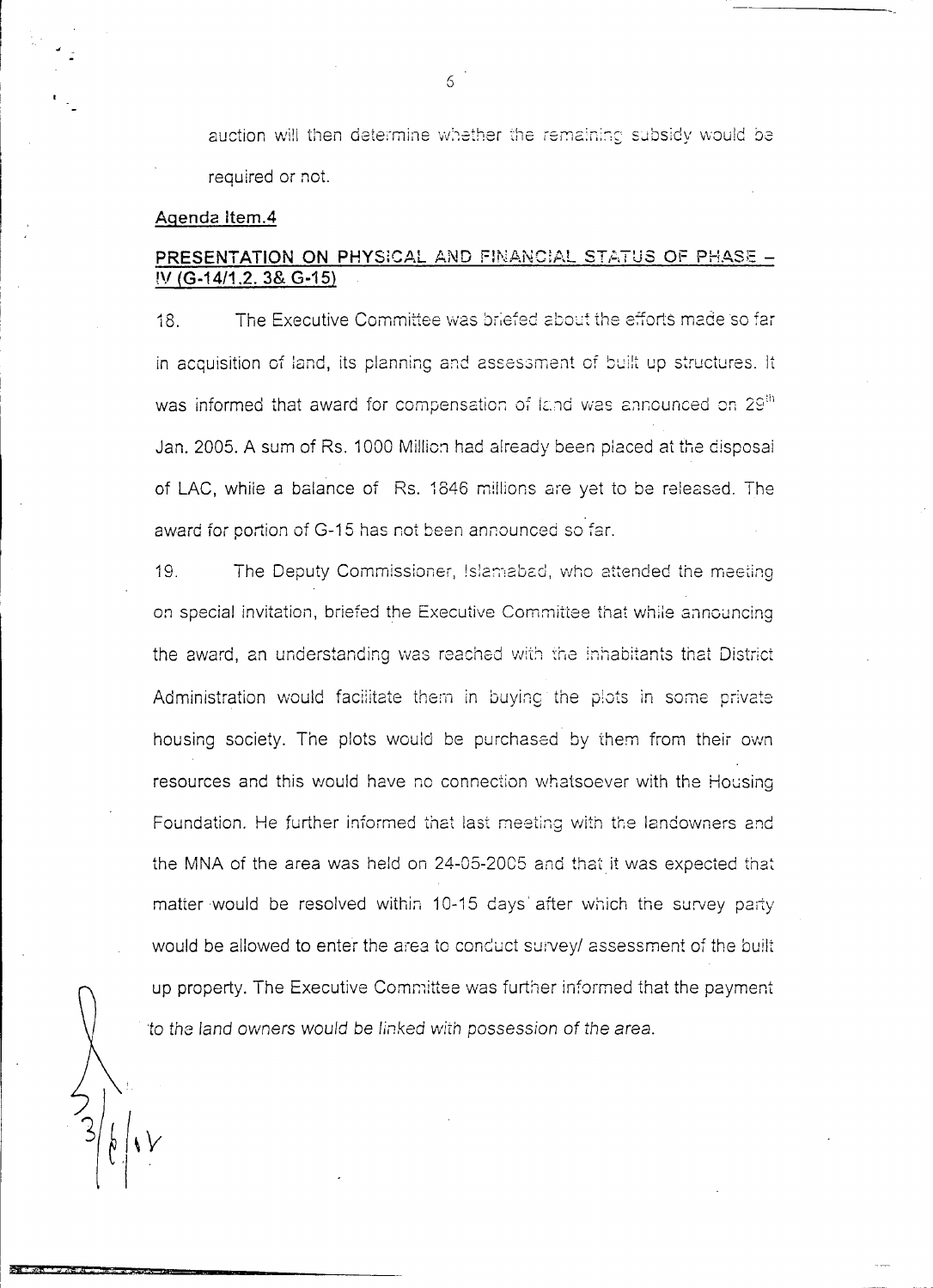auction will then determine whether the remaining subsidy would be required or not.

#### Agenda Item.4

#### PRESENTATION ON PHYSICAL AND FINANCIAL STATUS OF PHASE -IV (G-14/1.2. 3& G-15)

The Executive Committee was briefed about the efforts made so far  $18.$ in acquisition of land, its planning and assessment of built up structures. It was informed that award for compensation of land was announced on 29<sup>th</sup> Jan. 2005. A sum of Rs. 1000 Million had already been placed at the disposal of LAC, while a balance of Rs. 1846 millions are yet to be released. The award for portion of G-15 has not been announced so far.

 $19<sub>1</sub>$ The Deputy Commissioner, Islamabad, who attended the meeting on special invitation, briefed the Executive Committee that while announcing the award, an understanding was reached with the inhabitants that District Administration would facilitate them in buying the plots in some private housing society. The plots would be purchased by them from their own resources and this would have no connection whatsoever with the Housing Foundation. He further informed that last meeting with the landowners and the MNA of the area was held on 24-05-2005 and that it was expected that matter would be resolved within 10-15 days' after which the survey party would be allowed to enter the area to conduct survey/ assessment of the built up property. The Executive Committee was further informed that the payment to the land owners would be linked with possession of the area.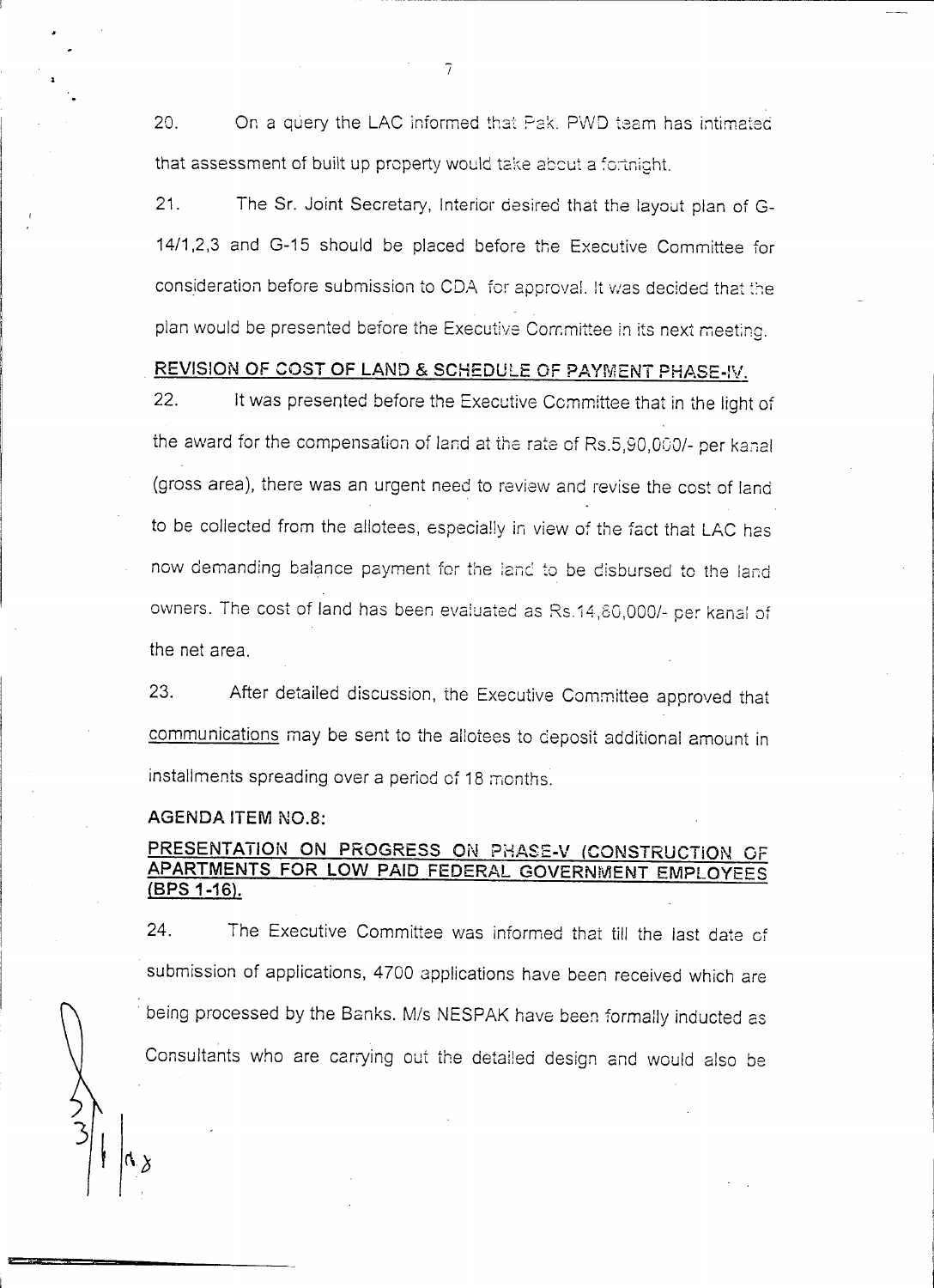On a query the LAC informed that Pak. PWD team has intimated  $20<sub>1</sub>$ that assessment of built up property would take about a fortnight.

 $21.$ The Sr. Joint Secretary, Interior desired that the layout plan of G-14/1,2,3 and G-15 should be placed before the Executive Committee for consideration before submission to CDA for approval. It was decided that the plan would be presented before the Executive Committee in its next meeting.

#### REVISION OF COST OF LAND & SCHEDULE OF PAYMENT PHASE-IV.

 $22.$ It was presented before the Executive Committee that in the light of the award for the compensation of land at the rate of Rs.5,90,000/- per kanal (gross area), there was an urgent need to review and revise the cost of land to be collected from the allotees, especially in view of the fact that LAC has now demanding balance payment for the land to be disbursed to the land owners. The cost of land has been evaluated as Rs.14,80,000/- per kanal of the net area.

23. After detailed discussion, the Executive Committee approved that communications may be sent to the allotees to deposit additional amount in installments spreading over a period of 18 months.

#### **AGENDA ITEM NO.8:**

#### PRESENTATION ON PROGRESS ON PHASE-V (CONSTRUCTION OF APARTMENTS FOR LOW PAID FEDERAL GOVERNMENT EMPLOYEES (BPS 1-16).

24. The Executive Committee was informed that till the last date of submission of applications, 4700 applications have been received which are being processed by the Banks. M/s NESPAK have been formally inducted as Consultants who are carrying out the detailed design and would also be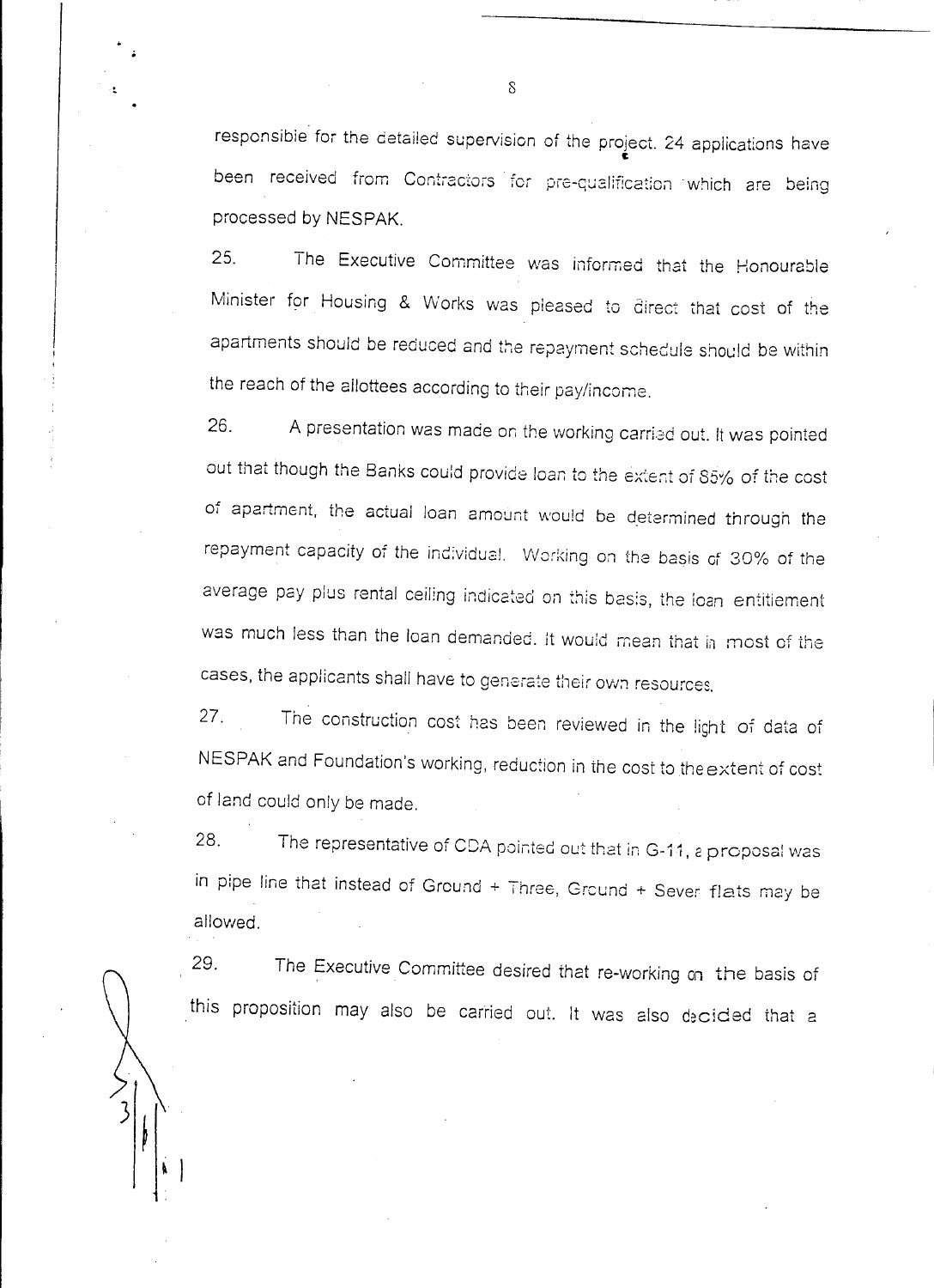responsibie for the detailed supervision of the project. 24 applications have c been received from Contractors for pre-qualification which are being processed by NESPAK.

25. The Executive Committee vvas informed that the Honourable Minister for Housing & Works was pleased to direct that cost of the apartments should be reduced and the repayment schedule should be within the reach of the allottees according to their pay/income.

26. A presentation was made on the working carried out. It was pointed out that though the Banks could provide loan to the extent of 85% of the cost of apartment, the actual loan amount would be determined through the repayment capacity of the individual. Working on the basis of 30% of the average pay plus rental ceiling indicated on this basis, the loan entitiement was much less than the loan demanded. It would mean that in most of the cases, the applicants shall have to generate their own resources.

27. The construction cost hes been reviewed in the light of data of NESPAK and Foundation's working, reduction in the cost to the extent of cost of land could only be made.

28. The representative of CDA pointed out that in G-11, a proposal was in pipe line that instead of Ground  $+$  Three, Ground  $+$  Sever flats may be allowed.

29. The Executive Committee desired that re-working on the basis of this proposition may also be carried out. It was also decided that a

8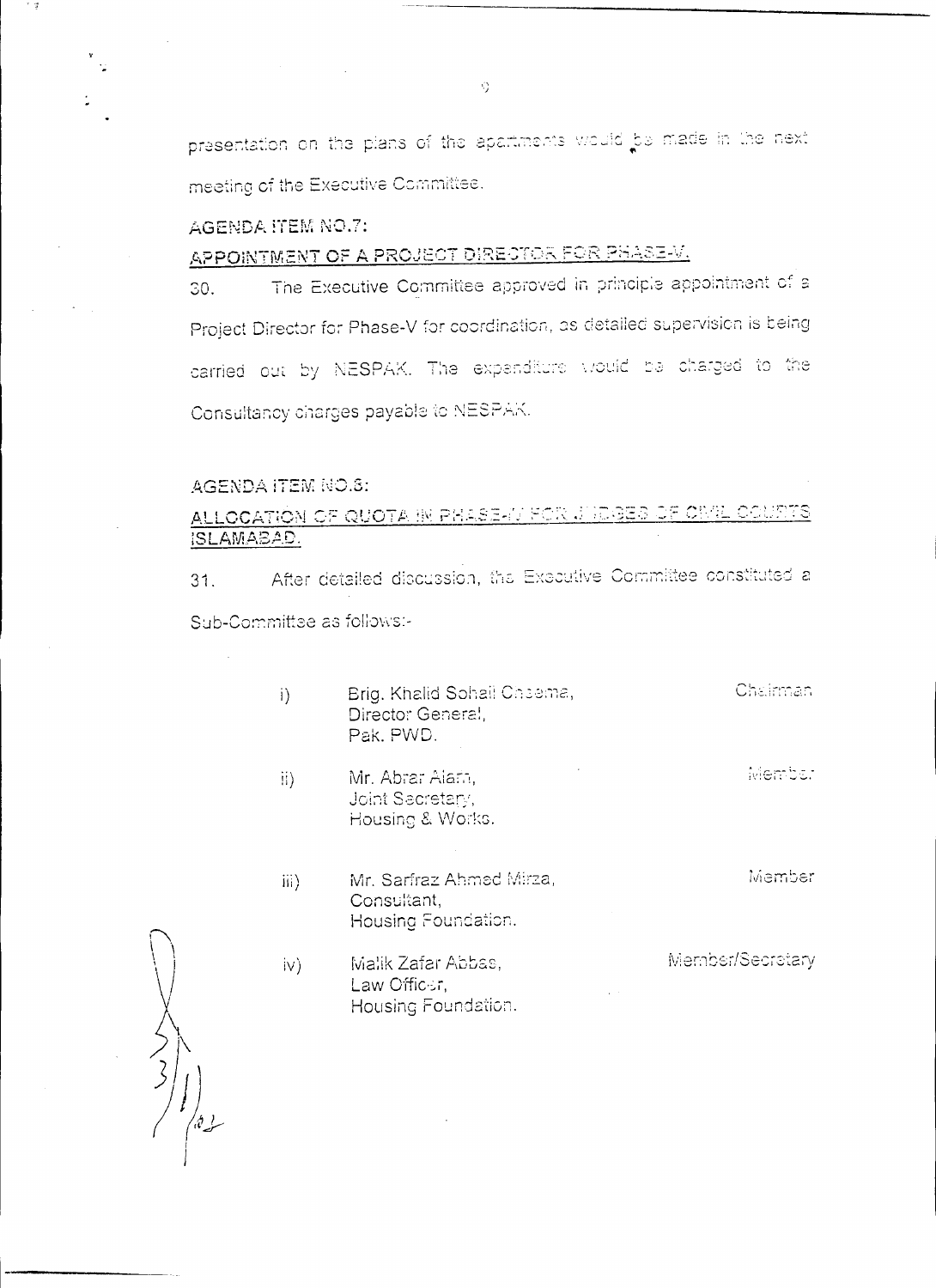presentation on the plans of the apartments would be made in the next meeting of the Executive Committee.

AGENDA ITEM NO.7:

APPOINTMENT OF A PROJECT DIRECTOR FOR PHASE-V.

The Executive Committee approved in principle appointment of a 30. Project Director for Phase-V for coordination, as detailed supervision is being carried out by NESPAK. The expanditure would be charged to the Consultancy charges payable to NESPAK.

#### AGENDA ITEM NO.8:

ALLOCATION OF QUOTA IN PHASE-IV FOR JUDGES OF CIVIL COURTS ISLAMABAD.

After detailed discussion, the Executive Committee constituted a  $31.$ Sub-Committee as follows:-

- Chairman  $i)$ Brig. Khalid Sohali Cheema, Director General, Pak, PWD.
- Member Mr. Abrar Alafn,  $\{ii\}$ Joint Secretary, Housing & Works.
- Member Mr. Sarfraz Ahmed Mirza, iii) Consultant, Housing Foundation.
- Member/Secretary Malik Zafar Abbas,  $iv)$ Law Officer. Housing Foundation.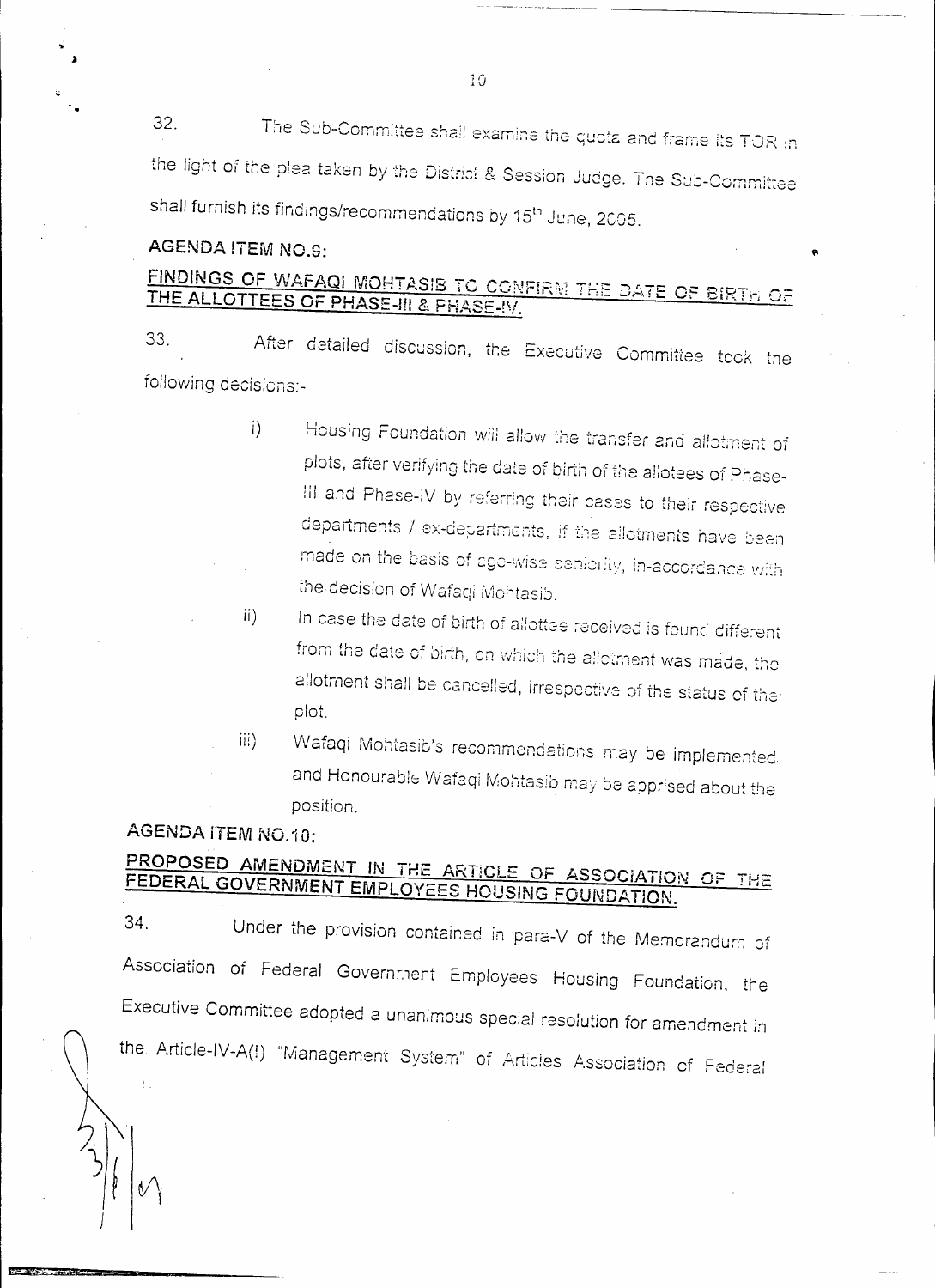32. The Sub-Committee shall examine the quota and frame its TOR in the light of the plea taken by the District & Session Judge. The Sub-Committee shall furnish its findings/recommendations by 15<sup>th</sup> June, 2005.

## **AGENDA ITEM NO.9:**

## FINDINGS OF WAFAQI MOHTASIB TO CONFIRM THE DATE OF BIRTH OF THE ALLOTTEES OF PHASE-III & PHASE-IV.

After detailed discussion, the Executive Committee took the 33. following decisions:-

- Housing Foundation will allow the transfer and allotment of  $i)$ plots, after verifying the date of birth of the allotees of Phase-III and Phase-IV by referring their cases to their respective departments / ex-departments, if the allotments have been made on the basis of age-wise seniority, in-accordance with the decision of Wafaqi Mohtasib.
- In case the date of birth of allottee received is found different  $ii)$ from the date of birth, on which the allotment was made, the allotment shall be cancelled, irrespective of the status of the plot.
- Wafaqi Mohtasib's recommendations may be implemented.  $iii)$ and Honourable Wafaqi Mohtasib may be apprised about the position.

## AGENDA ITEM NO.10:

## PROPOSED AMENDMENT IN THE ARTICLE OF ASSOCIATION OF THE FEDERAL GOVERNMENT EMPLOYEES HOUSING FOUNDATION.

34. Under the provision contained in para-V of the Memorandum of Association of Federal Government Employees Housing Foundation, the Executive Committee adopted a unanimous special resolution for amendment in the Article-IV-A(!) "Management System" of Articles Association of Federal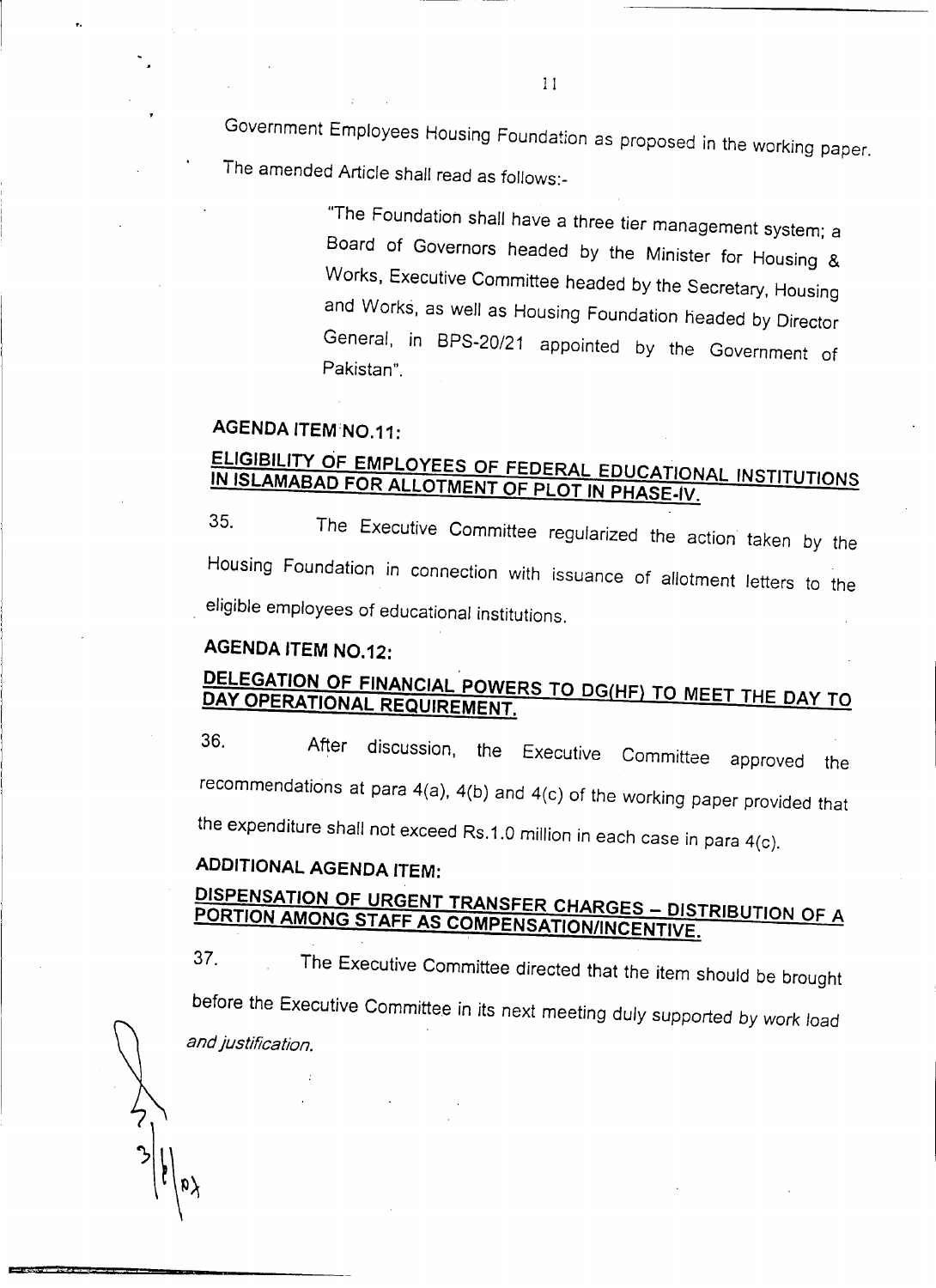Government Employees Housing Foundation as proposed in the working paper. The amended Article shall read as follows:-

> "The Foundation shall have a three tier management system; a Board of Governors headed by the Minister for Housing & Works, Executive Committee headed by the Secretary, Housing and Works, as well as Housing Foundation headed by Director General, in BPS-20/21 appointed by the Government of Pakistan".

#### **AGENDA ITEM;NO.11:**

## **ELIGIBILITY OF EMPLOYEES OF FEDERAL EDUCATIONAL INSTITUTIONS IN ISLAMABAD FOR ALLOTMENT OF PLOT IN PHASE-Iv.**

35. The Executive Committee regularized the action taken by the Housing Foundation in connection with issuance of allotment letters to the eligible employees of educational institutions.

## **AGENDA ITEM NO.12:**

## **DELEGATION OF FINANCIAL POWERS TO DG(HF) TO MEET THE DAY TO DAY OPERATIONAL REqUIREMENT.**

36. After discussion, the Executive Committee approved the recommendations at para 4(a), 4(b) and 4(c) of the working paper provided that the expenditure shall not exceed RS.1.0 million in each case in para 4(c).

## **ADDITIONAL AGENDA ITEM:**

## **DISPENSATION OF URGENT TRANSFER CHARGES - DISTRIBUTION OF A PORTION AMONG STAFF AS COMPENSATION/INCENTIVE.**

37. The Executive Committee *directed* that the item should be brought before the Executive Committee in its next meeting duly supported by *work load and justification.*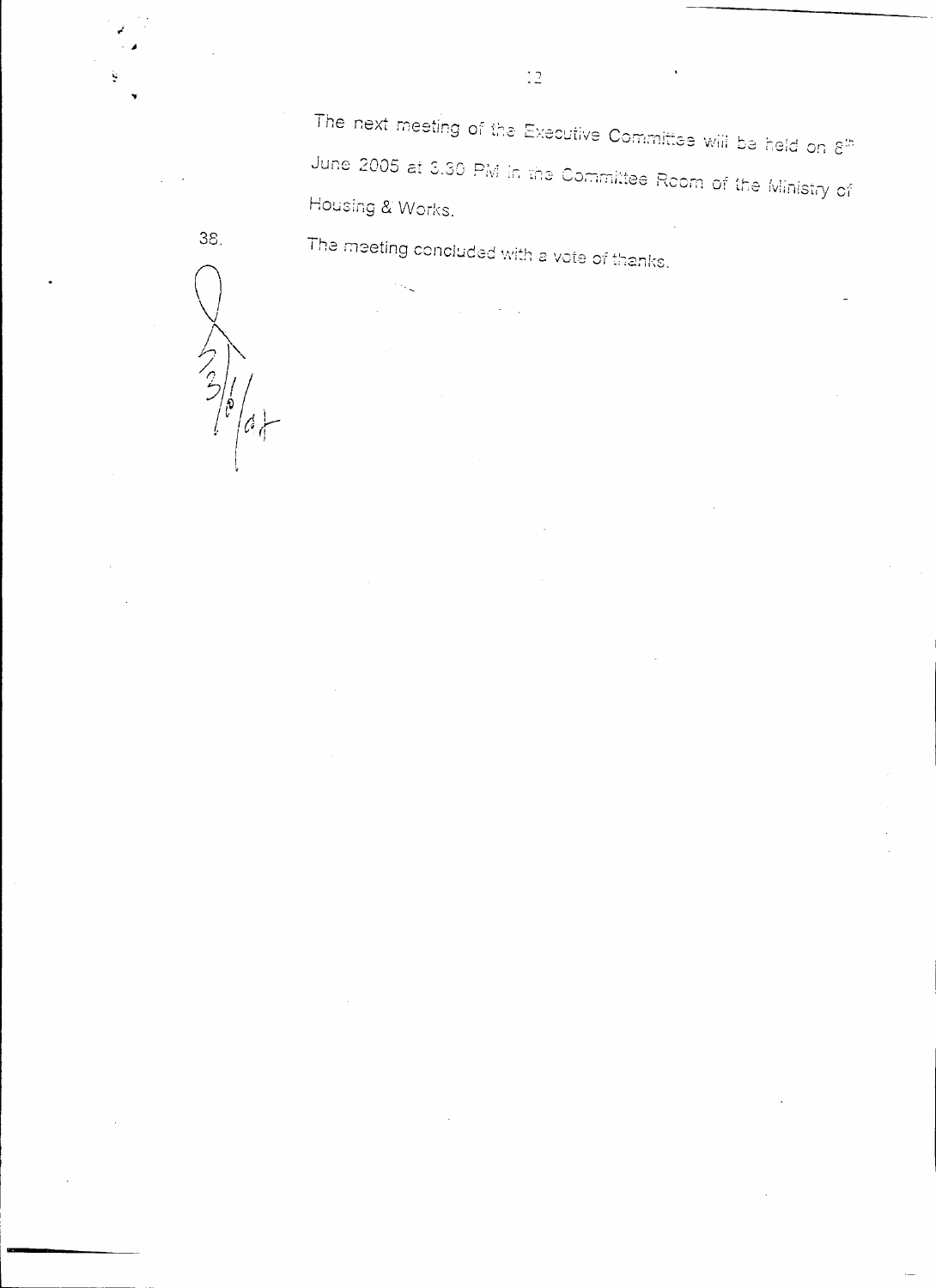The next meeting of the Executive Committee will be held on  $8^\mathrm{th}$ June 2005 at 3.30 PM in the Committee Room of the Ministry of Housing & Works.

The meeting concluded with a vote of thanks.

 $\begin{picture}(220,20) \put(0,0){\line(1,0){150}} \put(15,0){\line(1,0){150}} \put(15,0){\line(1,0){150}} \put(15,0){\line(1,0){150}} \put(15,0){\line(1,0){150}} \put(15,0){\line(1,0){150}} \put(15,0){\line(1,0){150}} \put(15,0){\line(1,0){150}} \put(15,0){\line(1,0){150}} \put(15,0){\line(1,0){150}} \put(15,0){\line(1,0){150}}$  $\left\langle \phi \right\rangle$ 

38.

 $\overline{12}$